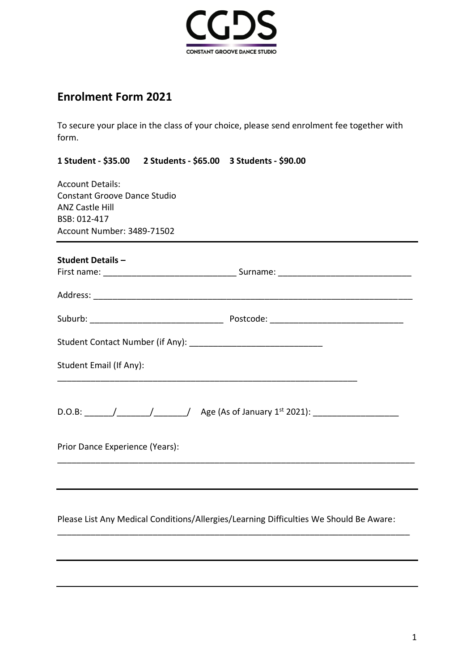

# **Enrolment Form 2021**

To secure your place in the class of your choice, please send enrolment fee together with form.

**1 Student - \$35.00 2 Students - \$65.00 3 Students - \$90.00**

Account Details: Constant Groove Dance Studio ANZ Castle Hill BSB: 012-417 Account Number: 3489-71502

| <b>Student Details -</b>        |  |  |
|---------------------------------|--|--|
|                                 |  |  |
|                                 |  |  |
|                                 |  |  |
|                                 |  |  |
| Student Email (If Any):         |  |  |
|                                 |  |  |
| Prior Dance Experience (Years): |  |  |
|                                 |  |  |

Please List Any Medical Conditions/Allergies/Learning Difficulties We Should Be Aware:

\_\_\_\_\_\_\_\_\_\_\_\_\_\_\_\_\_\_\_\_\_\_\_\_\_\_\_\_\_\_\_\_\_\_\_\_\_\_\_\_\_\_\_\_\_\_\_\_\_\_\_\_\_\_\_\_\_\_\_\_\_\_\_\_\_\_\_\_\_\_\_\_\_\_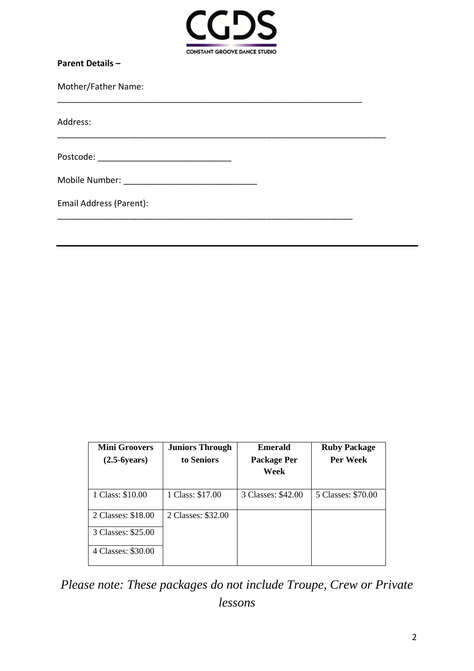

\_\_\_\_\_\_\_\_\_\_\_\_\_\_\_\_\_\_\_\_\_\_\_\_\_\_\_\_\_\_\_\_\_\_\_\_\_\_\_\_\_\_\_\_\_\_\_\_\_\_\_\_\_\_\_\_\_\_\_\_\_\_\_\_

\_\_\_\_\_\_\_\_\_\_\_\_\_\_\_\_\_\_\_\_\_\_\_\_\_\_\_\_\_\_\_\_\_\_\_\_\_\_\_\_\_\_\_\_\_\_\_\_\_\_\_\_\_\_\_\_\_\_\_\_\_\_

\_\_\_\_\_\_\_\_\_\_\_\_\_\_\_\_\_\_\_\_\_\_\_\_\_\_\_\_\_\_\_\_\_\_\_\_\_\_\_\_\_\_\_\_\_\_\_\_\_\_\_\_\_\_\_\_\_\_\_\_\_\_\_\_\_\_\_\_\_

| <b>Parent Details -</b> |
|-------------------------|
|-------------------------|

Mother/Father Name:

Address:

Postcode: \_\_\_\_\_\_\_\_\_\_\_\_\_\_\_\_\_\_\_\_\_\_\_\_\_\_\_\_

| Mobile Number: |  |
|----------------|--|
|----------------|--|

| Email Address (Parent): |  |
|-------------------------|--|
|-------------------------|--|

| <b>Mini Groovers</b> | <b>Juniors Through</b> | <b>Emerald</b>     | <b>Ruby Package</b> |
|----------------------|------------------------|--------------------|---------------------|
| $(2.5-6years)$       | to Seniors             | Package Per        | Per Week            |
|                      |                        | Week               |                     |
|                      |                        |                    |                     |
| 1 Class: \$10.00     | 1 Class: \$17.00       | 3 Classes: \$42.00 | 5 Classes: \$70.00  |
| 2 Classes: \$18.00   | 2 Classes: \$32.00     |                    |                     |
| 3 Classes: \$25.00   |                        |                    |                     |
| 4 Classes: \$30.00   |                        |                    |                     |

*Please note: These packages do not include Troupe, Crew or Private lessons*